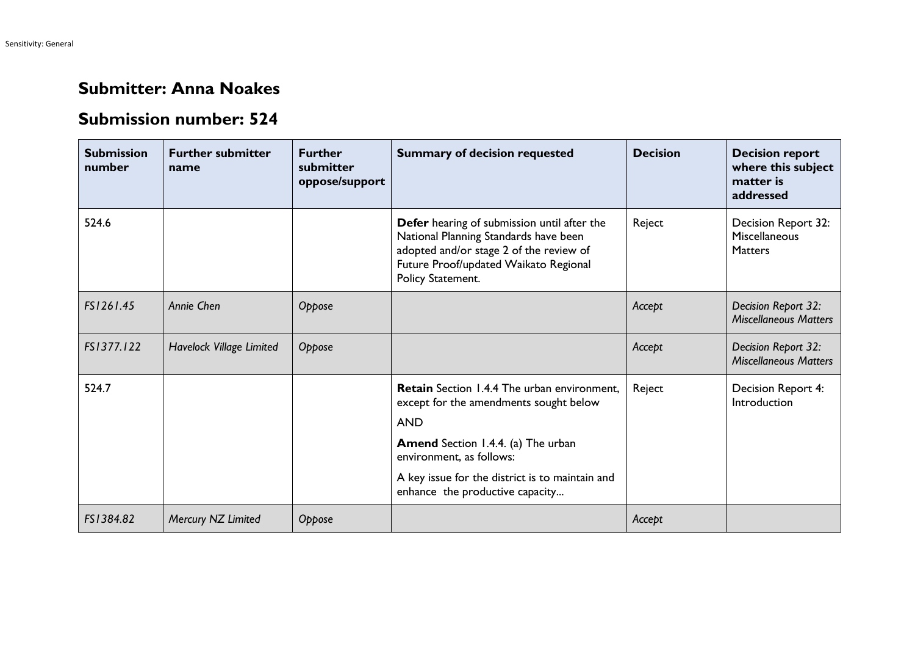## **Submitter: Anna Noakes**

## **Submission number: 524**

| <b>Submission</b><br>number | <b>Further submitter</b><br>name | <b>Further</b><br>submitter<br>oppose/support | <b>Summary of decision requested</b>                                                                                                                                                                                                                               | <b>Decision</b> | <b>Decision report</b><br>where this subject<br>matter is<br>addressed |
|-----------------------------|----------------------------------|-----------------------------------------------|--------------------------------------------------------------------------------------------------------------------------------------------------------------------------------------------------------------------------------------------------------------------|-----------------|------------------------------------------------------------------------|
| 524.6                       |                                  |                                               | Defer hearing of submission until after the<br>National Planning Standards have been<br>adopted and/or stage 2 of the review of<br>Future Proof/updated Waikato Regional<br>Policy Statement.                                                                      | Reject          | Decision Report 32:<br>Miscellaneous<br><b>Matters</b>                 |
| FS1261.45                   | Annie Chen                       | Oppose                                        |                                                                                                                                                                                                                                                                    | Accept          | Decision Report 32:<br><b>Miscellaneous Matters</b>                    |
| FS1377.122                  | Havelock Village Limited         | Oppose                                        |                                                                                                                                                                                                                                                                    | Accept          | Decision Report 32:<br><b>Miscellaneous Matters</b>                    |
| 524.7                       |                                  |                                               | Retain Section 1.4.4 The urban environment,<br>except for the amendments sought below<br><b>AND</b><br><b>Amend</b> Section 1.4.4. (a) The urban<br>environment, as follows:<br>A key issue for the district is to maintain and<br>enhance the productive capacity | Reject          | Decision Report 4:<br>Introduction                                     |
| FS1384.82                   | Mercury NZ Limited               | Oppose                                        |                                                                                                                                                                                                                                                                    | Accept          |                                                                        |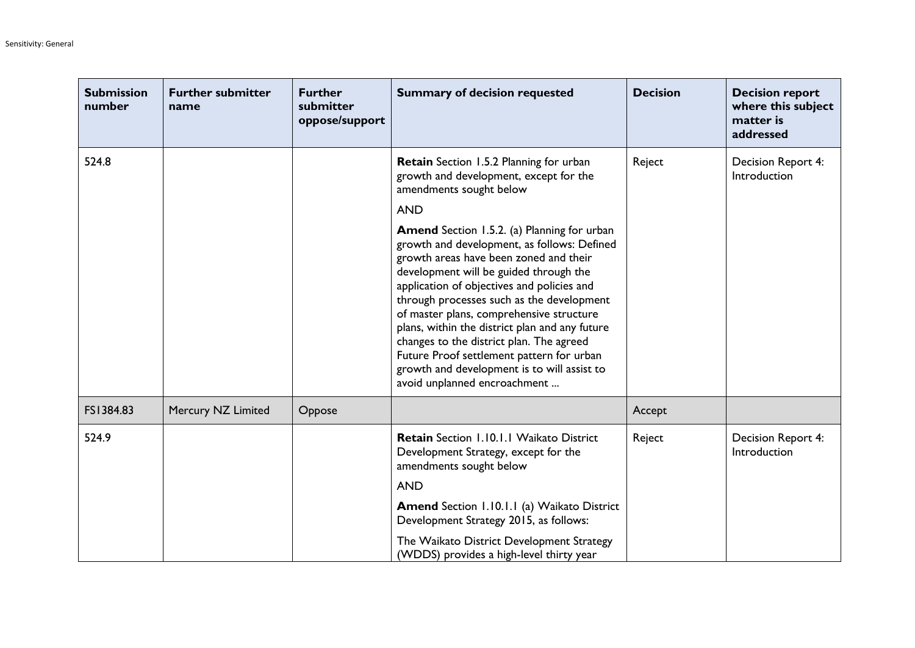| <b>Submission</b><br>number | <b>Further submitter</b><br>name | <b>Further</b><br>submitter<br>oppose/support | <b>Summary of decision requested</b>                                                                                                                                                                                                                                                                                                                                                                                                                                                                                                                   | <b>Decision</b> | <b>Decision report</b><br>where this subject<br>matter is<br>addressed |
|-----------------------------|----------------------------------|-----------------------------------------------|--------------------------------------------------------------------------------------------------------------------------------------------------------------------------------------------------------------------------------------------------------------------------------------------------------------------------------------------------------------------------------------------------------------------------------------------------------------------------------------------------------------------------------------------------------|-----------------|------------------------------------------------------------------------|
| 524.8                       |                                  |                                               | <b>Retain</b> Section 1.5.2 Planning for urban<br>growth and development, except for the<br>amendments sought below                                                                                                                                                                                                                                                                                                                                                                                                                                    | Reject          | Decision Report 4:<br>Introduction                                     |
|                             |                                  |                                               | <b>AND</b>                                                                                                                                                                                                                                                                                                                                                                                                                                                                                                                                             |                 |                                                                        |
|                             |                                  |                                               | <b>Amend</b> Section 1.5.2. (a) Planning for urban<br>growth and development, as follows: Defined<br>growth areas have been zoned and their<br>development will be guided through the<br>application of objectives and policies and<br>through processes such as the development<br>of master plans, comprehensive structure<br>plans, within the district plan and any future<br>changes to the district plan. The agreed<br>Future Proof settlement pattern for urban<br>growth and development is to will assist to<br>avoid unplanned encroachment |                 |                                                                        |
| FS1384.83                   | Mercury NZ Limited               | Oppose                                        |                                                                                                                                                                                                                                                                                                                                                                                                                                                                                                                                                        | Accept          |                                                                        |
| 524.9                       |                                  |                                               | <b>Retain</b> Section 1.10.1.1 Waikato District<br>Development Strategy, except for the<br>amendments sought below                                                                                                                                                                                                                                                                                                                                                                                                                                     | Reject          | Decision Report 4:<br>Introduction                                     |
|                             |                                  |                                               | <b>AND</b>                                                                                                                                                                                                                                                                                                                                                                                                                                                                                                                                             |                 |                                                                        |
|                             |                                  |                                               | <b>Amend</b> Section 1.10.1.1 (a) Waikato District<br>Development Strategy 2015, as follows:                                                                                                                                                                                                                                                                                                                                                                                                                                                           |                 |                                                                        |
|                             |                                  |                                               | The Waikato District Development Strategy<br>(WDDS) provides a high-level thirty year                                                                                                                                                                                                                                                                                                                                                                                                                                                                  |                 |                                                                        |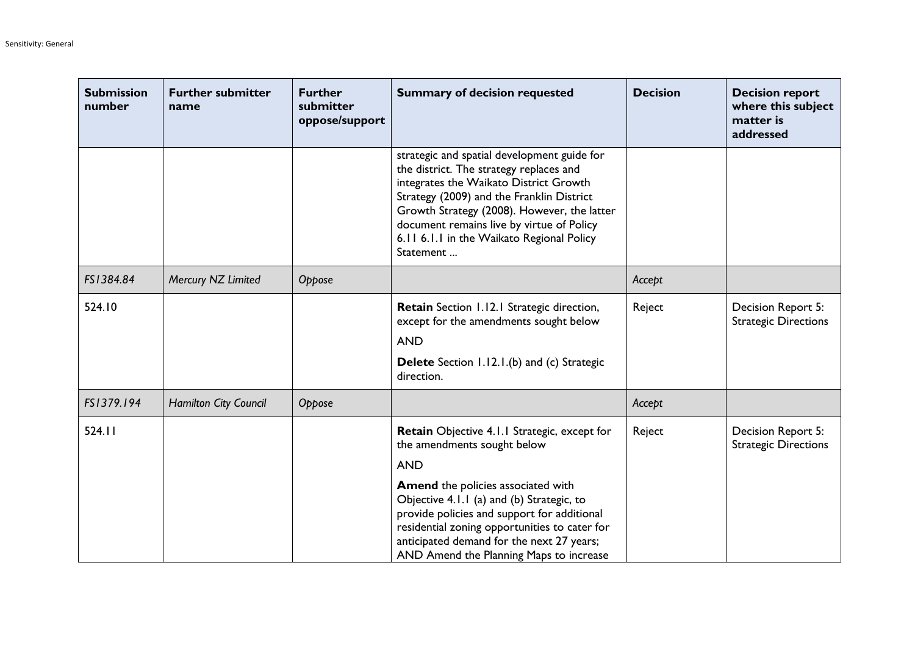| <b>Submission</b><br>number | <b>Further submitter</b><br>name | <b>Further</b><br>submitter<br>oppose/support | <b>Summary of decision requested</b>                                                                                                                                                                                                                                                                                                | <b>Decision</b> | <b>Decision report</b><br>where this subject<br>matter is<br>addressed |
|-----------------------------|----------------------------------|-----------------------------------------------|-------------------------------------------------------------------------------------------------------------------------------------------------------------------------------------------------------------------------------------------------------------------------------------------------------------------------------------|-----------------|------------------------------------------------------------------------|
|                             |                                  |                                               | strategic and spatial development guide for<br>the district. The strategy replaces and<br>integrates the Waikato District Growth<br>Strategy (2009) and the Franklin District<br>Growth Strategy (2008). However, the latter<br>document remains live by virtue of Policy<br>6.11 6.1.1 in the Waikato Regional Policy<br>Statement |                 |                                                                        |
| FS1384.84                   | Mercury NZ Limited               | Oppose                                        |                                                                                                                                                                                                                                                                                                                                     | Accept          |                                                                        |
| 524.10                      |                                  |                                               | Retain Section 1.12.1 Strategic direction,<br>except for the amendments sought below<br><b>AND</b><br><b>Delete</b> Section 1.12.1.(b) and (c) Strategic<br>direction.                                                                                                                                                              | Reject          | Decision Report 5:<br><b>Strategic Directions</b>                      |
| FS1379.194                  | <b>Hamilton City Council</b>     | Oppose                                        |                                                                                                                                                                                                                                                                                                                                     | Accept          |                                                                        |
| 524.11                      |                                  |                                               | Retain Objective 4.1.1 Strategic, except for<br>the amendments sought below<br><b>AND</b>                                                                                                                                                                                                                                           | Reject          | Decision Report 5:<br><b>Strategic Directions</b>                      |
|                             |                                  |                                               | <b>Amend</b> the policies associated with<br>Objective 4.1.1 (a) and (b) Strategic, to<br>provide policies and support for additional<br>residential zoning opportunities to cater for<br>anticipated demand for the next 27 years;<br>AND Amend the Planning Maps to increase                                                      |                 |                                                                        |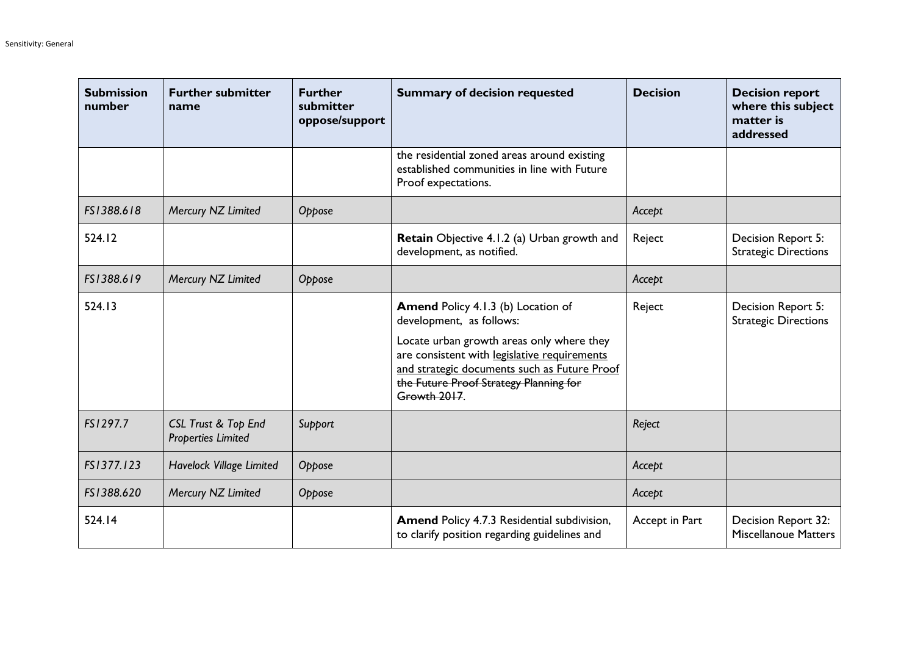| <b>Submission</b><br>number | <b>Further submitter</b><br>name                            | <b>Further</b><br>submitter<br>oppose/support | <b>Summary of decision requested</b>                                                                                                                                                                                                                                         | <b>Decision</b> | <b>Decision report</b><br>where this subject<br>matter is<br>addressed |
|-----------------------------|-------------------------------------------------------------|-----------------------------------------------|------------------------------------------------------------------------------------------------------------------------------------------------------------------------------------------------------------------------------------------------------------------------------|-----------------|------------------------------------------------------------------------|
|                             |                                                             |                                               | the residential zoned areas around existing<br>established communities in line with Future<br>Proof expectations.                                                                                                                                                            |                 |                                                                        |
| FS1388.618                  | Mercury NZ Limited                                          | Oppose                                        |                                                                                                                                                                                                                                                                              | Accept          |                                                                        |
| 524.12                      |                                                             |                                               | Retain Objective 4.1.2 (a) Urban growth and<br>development, as notified.                                                                                                                                                                                                     | Reject          | Decision Report 5:<br><b>Strategic Directions</b>                      |
| FS1388.619                  | Mercury NZ Limited                                          | Oppose                                        |                                                                                                                                                                                                                                                                              | Accept          |                                                                        |
| 524.13                      |                                                             |                                               | <b>Amend Policy 4.1.3 (b) Location of</b><br>development, as follows:<br>Locate urban growth areas only where they<br>are consistent with legislative requirements<br>and strategic documents such as Future Proof<br>the Future Proof Strategy Planning for<br>Growth 2017. | Reject          | Decision Report 5:<br><b>Strategic Directions</b>                      |
| FS1297.7                    | <b>CSL Trust &amp; Top End</b><br><b>Properties Limited</b> | Support                                       |                                                                                                                                                                                                                                                                              | Reject          |                                                                        |
| FS1377.123                  | Havelock Village Limited                                    | Oppose                                        |                                                                                                                                                                                                                                                                              | Accept          |                                                                        |
| FS1388.620                  | Mercury NZ Limited                                          | Oppose                                        |                                                                                                                                                                                                                                                                              | Accept          |                                                                        |
| 524.14                      |                                                             |                                               | Amend Policy 4.7.3 Residential subdivision,<br>to clarify position regarding guidelines and                                                                                                                                                                                  | Accept in Part  | Decision Report 32:<br>Miscellanoue Matters                            |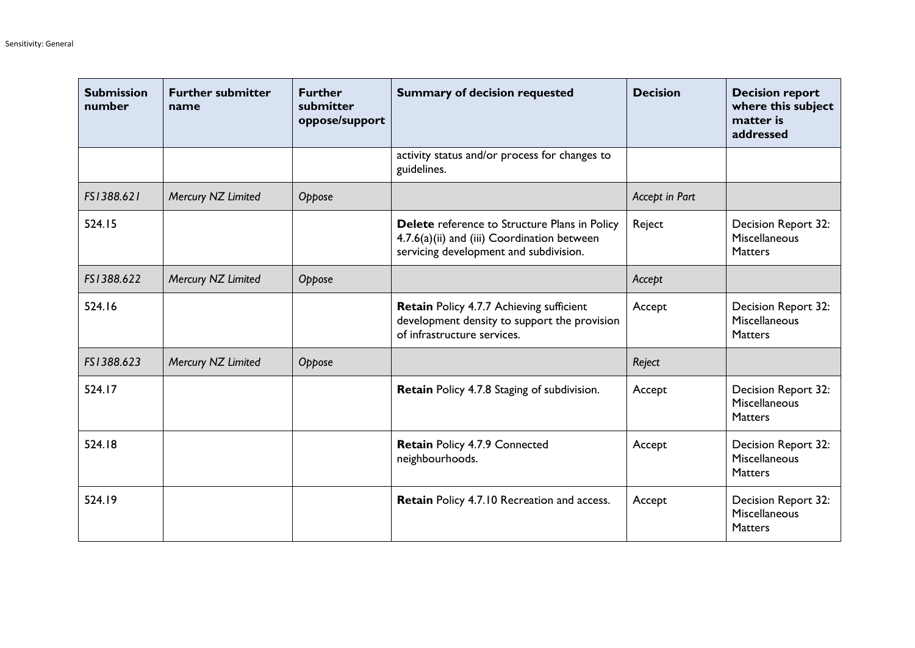| <b>Submission</b><br>number | <b>Further submitter</b><br>name | <b>Further</b><br>submitter<br>oppose/support | <b>Summary of decision requested</b>                                                                                                   | <b>Decision</b> | <b>Decision report</b><br>where this subject<br>matter is<br>addressed |
|-----------------------------|----------------------------------|-----------------------------------------------|----------------------------------------------------------------------------------------------------------------------------------------|-----------------|------------------------------------------------------------------------|
|                             |                                  |                                               | activity status and/or process for changes to<br>guidelines.                                                                           |                 |                                                                        |
| FS1388.621                  | Mercury NZ Limited               | Oppose                                        |                                                                                                                                        | Accept in Part  |                                                                        |
| 524.15                      |                                  |                                               | Delete reference to Structure Plans in Policy<br>4.7.6(a)(ii) and (iii) Coordination between<br>servicing development and subdivision. | Reject          | Decision Report 32:<br>Miscellaneous<br><b>Matters</b>                 |
| FS1388.622                  | Mercury NZ Limited               | Oppose                                        |                                                                                                                                        | Accept          |                                                                        |
| 524.16                      |                                  |                                               | <b>Retain Policy 4.7.7 Achieving sufficient</b><br>development density to support the provision<br>of infrastructure services.         | Accept          | Decision Report 32:<br>Miscellaneous<br><b>Matters</b>                 |
| FS1388.623                  | Mercury NZ Limited               | Oppose                                        |                                                                                                                                        | Reject          |                                                                        |
| 524.17                      |                                  |                                               | Retain Policy 4.7.8 Staging of subdivision.                                                                                            | Accept          | Decision Report 32:<br>Miscellaneous<br><b>Matters</b>                 |
| 524.18                      |                                  |                                               | Retain Policy 4.7.9 Connected<br>neighbourhoods.                                                                                       | Accept          | Decision Report 32:<br>Miscellaneous<br><b>Matters</b>                 |
| 524.19                      |                                  |                                               | Retain Policy 4.7.10 Recreation and access.                                                                                            | Accept          | Decision Report 32:<br>Miscellaneous<br><b>Matters</b>                 |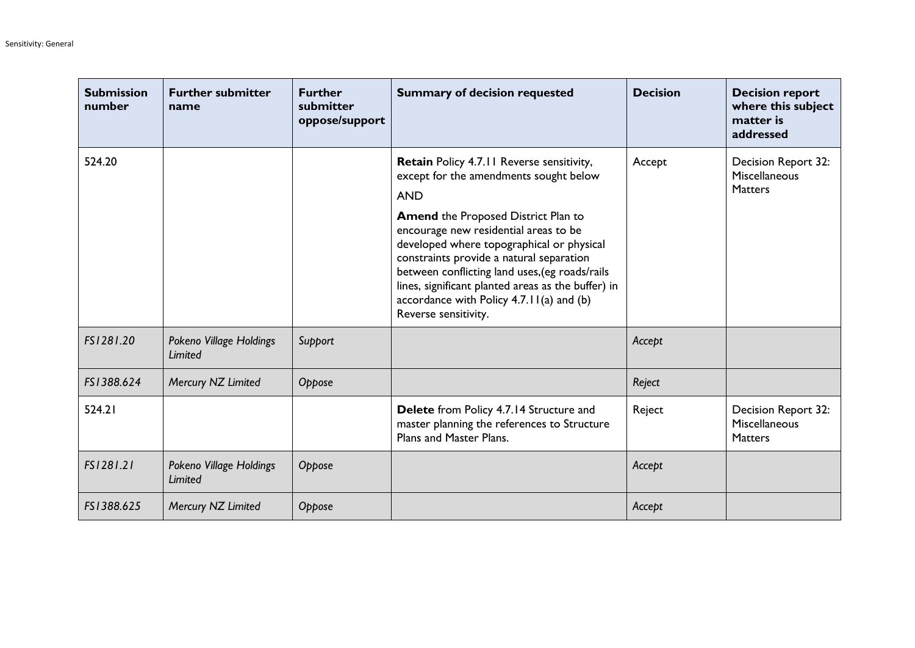| <b>Submission</b><br>number | <b>Further submitter</b><br>name   | <b>Further</b><br>submitter<br>oppose/support | <b>Summary of decision requested</b>                                                                                                                                                                                                                                                                         | <b>Decision</b> | <b>Decision report</b><br>where this subject<br>matter is<br>addressed |
|-----------------------------|------------------------------------|-----------------------------------------------|--------------------------------------------------------------------------------------------------------------------------------------------------------------------------------------------------------------------------------------------------------------------------------------------------------------|-----------------|------------------------------------------------------------------------|
| 524.20                      |                                    |                                               | Retain Policy 4.7.11 Reverse sensitivity,<br>except for the amendments sought below<br><b>AND</b><br><b>Amend the Proposed District Plan to</b>                                                                                                                                                              | Accept          | Decision Report 32:<br>Miscellaneous<br><b>Matters</b>                 |
|                             |                                    |                                               | encourage new residential areas to be<br>developed where topographical or physical<br>constraints provide a natural separation<br>between conflicting land uses, (eg roads/rails<br>lines, significant planted areas as the buffer) in<br>accordance with Policy $4.7.11(a)$ and (b)<br>Reverse sensitivity. |                 |                                                                        |
| FS1281.20                   | Pokeno Village Holdings<br>Limited | Support                                       |                                                                                                                                                                                                                                                                                                              | Accept          |                                                                        |
| FS1388.624                  | Mercury NZ Limited                 | Oppose                                        |                                                                                                                                                                                                                                                                                                              | Reject          |                                                                        |
| 524.21                      |                                    |                                               | <b>Delete</b> from Policy 4.7.14 Structure and<br>master planning the references to Structure<br>Plans and Master Plans.                                                                                                                                                                                     | Reject          | Decision Report 32:<br>Miscellaneous<br><b>Matters</b>                 |
| FS1281.21                   | Pokeno Village Holdings<br>Limited | Oppose                                        |                                                                                                                                                                                                                                                                                                              | Accept          |                                                                        |
| FS1388.625                  | Mercury NZ Limited                 | Oppose                                        |                                                                                                                                                                                                                                                                                                              | Accept          |                                                                        |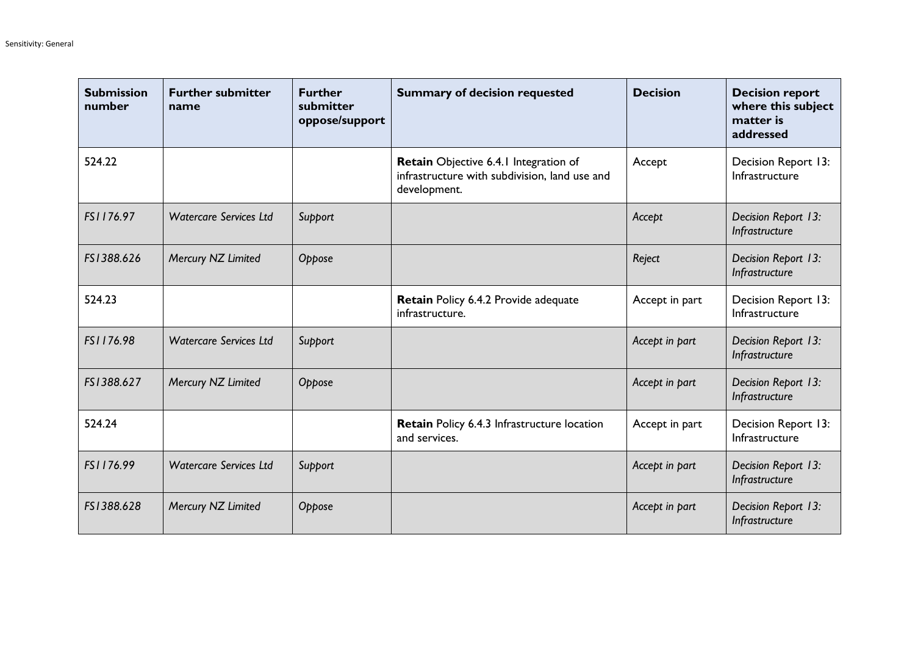| <b>Submission</b><br>number | <b>Further submitter</b><br>name | <b>Further</b><br>submitter<br>oppose/support | <b>Summary of decision requested</b>                                                                   | <b>Decision</b> | <b>Decision report</b><br>where this subject<br>matter is<br>addressed |
|-----------------------------|----------------------------------|-----------------------------------------------|--------------------------------------------------------------------------------------------------------|-----------------|------------------------------------------------------------------------|
| 524.22                      |                                  |                                               | Retain Objective 6.4.1 Integration of<br>infrastructure with subdivision, land use and<br>development. | Accept          | Decision Report 13:<br>Infrastructure                                  |
| FS1176.97                   | <b>Watercare Services Ltd</b>    | Support                                       |                                                                                                        | Accept          | Decision Report 13:<br>Infrastructure                                  |
| FS1388.626                  | Mercury NZ Limited               | Oppose                                        |                                                                                                        | Reject          | Decision Report 13:<br>Infrastructure                                  |
| 524.23                      |                                  |                                               | Retain Policy 6.4.2 Provide adequate<br>infrastructure.                                                | Accept in part  | Decision Report 13:<br>Infrastructure                                  |
| FS1176.98                   | <b>Watercare Services Ltd</b>    | Support                                       |                                                                                                        | Accept in part  | Decision Report 13:<br>Infrastructure                                  |
| FS1388.627                  | Mercury NZ Limited               | Oppose                                        |                                                                                                        | Accept in part  | Decision Report 13:<br>Infrastructure                                  |
| 524.24                      |                                  |                                               | Retain Policy 6.4.3 Infrastructure location<br>and services.                                           | Accept in part  | Decision Report 13:<br>Infrastructure                                  |
| FS1176.99                   | <b>Watercare Services Ltd</b>    | Support                                       |                                                                                                        | Accept in part  | Decision Report 13:<br>Infrastructure                                  |
| FS1388.628                  | Mercury NZ Limited               | Oppose                                        |                                                                                                        | Accept in part  | Decision Report 13:<br>Infrastructure                                  |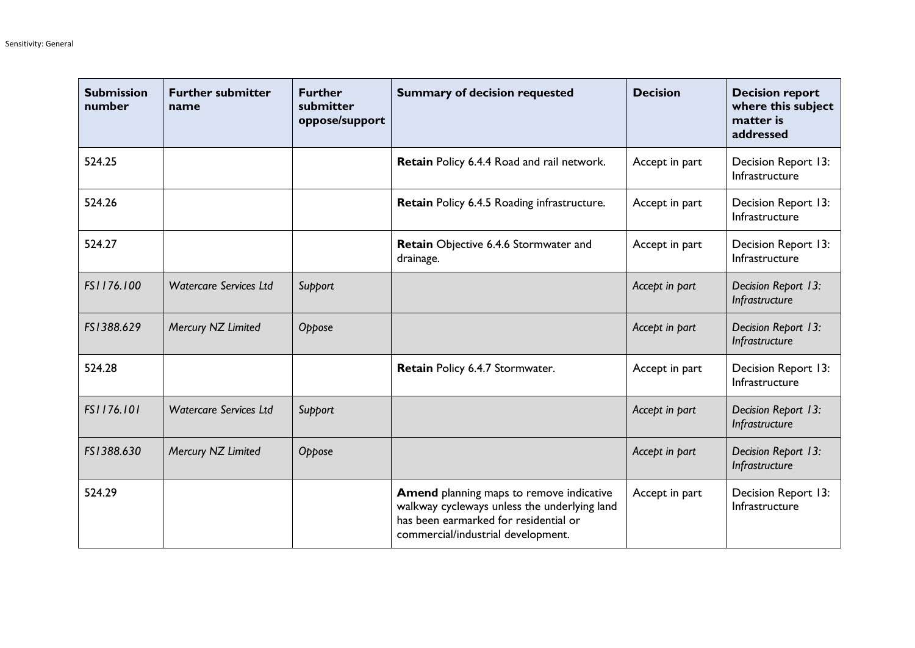| <b>Submission</b><br>number | <b>Further submitter</b><br>name | <b>Further</b><br>submitter<br>oppose/support | <b>Summary of decision requested</b>                                                                                                                                           | <b>Decision</b> | <b>Decision report</b><br>where this subject<br>matter is<br>addressed |
|-----------------------------|----------------------------------|-----------------------------------------------|--------------------------------------------------------------------------------------------------------------------------------------------------------------------------------|-----------------|------------------------------------------------------------------------|
| 524.25                      |                                  |                                               | Retain Policy 6.4.4 Road and rail network.                                                                                                                                     | Accept in part  | Decision Report 13:<br>Infrastructure                                  |
| 524.26                      |                                  |                                               | Retain Policy 6.4.5 Roading infrastructure.                                                                                                                                    | Accept in part  | Decision Report 13:<br>Infrastructure                                  |
| 524.27                      |                                  |                                               | Retain Objective 6.4.6 Stormwater and<br>drainage.                                                                                                                             | Accept in part  | Decision Report 13:<br>Infrastructure                                  |
| FS1176.100                  | <b>Watercare Services Ltd</b>    | Support                                       |                                                                                                                                                                                | Accept in part  | Decision Report 13:<br>Infrastructure                                  |
| FS1388.629                  | Mercury NZ Limited               | Oppose                                        |                                                                                                                                                                                | Accept in part  | Decision Report 13:<br>Infrastructure                                  |
| 524.28                      |                                  |                                               | Retain Policy 6.4.7 Stormwater.                                                                                                                                                | Accept in part  | Decision Report 13:<br>Infrastructure                                  |
| FS1176.101                  | <b>Watercare Services Ltd</b>    | Support                                       |                                                                                                                                                                                | Accept in part  | Decision Report 13:<br>Infrastructure                                  |
| FS1388.630                  | Mercury NZ Limited               | Oppose                                        |                                                                                                                                                                                | Accept in part  | Decision Report 13:<br>Infrastructure                                  |
| 524.29                      |                                  |                                               | <b>Amend</b> planning maps to remove indicative<br>walkway cycleways unless the underlying land<br>has been earmarked for residential or<br>commercial/industrial development. | Accept in part  | Decision Report 13:<br>Infrastructure                                  |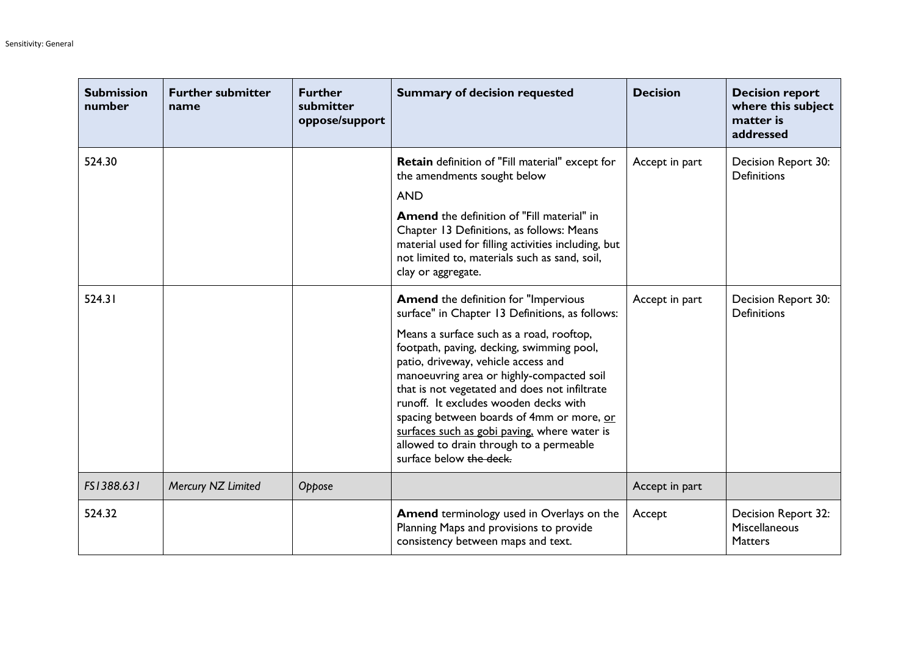| <b>Submission</b><br>number | <b>Further submitter</b><br>name | <b>Further</b><br>submitter<br>oppose/support | <b>Summary of decision requested</b>                                                                                                                                                                                                                                                                                                                                                                                                                                                                                                     | <b>Decision</b> | <b>Decision report</b><br>where this subject<br>matter is<br>addressed |
|-----------------------------|----------------------------------|-----------------------------------------------|------------------------------------------------------------------------------------------------------------------------------------------------------------------------------------------------------------------------------------------------------------------------------------------------------------------------------------------------------------------------------------------------------------------------------------------------------------------------------------------------------------------------------------------|-----------------|------------------------------------------------------------------------|
| 524.30                      |                                  |                                               | <b>Retain</b> definition of "Fill material" except for<br>the amendments sought below                                                                                                                                                                                                                                                                                                                                                                                                                                                    | Accept in part  | Decision Report 30:<br><b>Definitions</b>                              |
|                             |                                  |                                               | <b>AND</b><br><b>Amend</b> the definition of "Fill material" in<br>Chapter 13 Definitions, as follows: Means<br>material used for filling activities including, but<br>not limited to, materials such as sand, soil,<br>clay or aggregate.                                                                                                                                                                                                                                                                                               |                 |                                                                        |
| 524.31                      |                                  |                                               | <b>Amend</b> the definition for "Impervious<br>surface" in Chapter 13 Definitions, as follows:<br>Means a surface such as a road, rooftop,<br>footpath, paving, decking, swimming pool,<br>patio, driveway, vehicle access and<br>manoeuvring area or highly-compacted soil<br>that is not vegetated and does not infiltrate<br>runoff. It excludes wooden decks with<br>spacing between boards of 4mm or more, or<br>surfaces such as gobi paving, where water is<br>allowed to drain through to a permeable<br>surface below the deck. | Accept in part  | Decision Report 30:<br><b>Definitions</b>                              |
| FS1388.631                  | Mercury NZ Limited               | Oppose                                        |                                                                                                                                                                                                                                                                                                                                                                                                                                                                                                                                          | Accept in part  |                                                                        |
| 524.32                      |                                  |                                               | Amend terminology used in Overlays on the<br>Planning Maps and provisions to provide<br>consistency between maps and text.                                                                                                                                                                                                                                                                                                                                                                                                               | Accept          | Decision Report 32:<br>Miscellaneous<br><b>Matters</b>                 |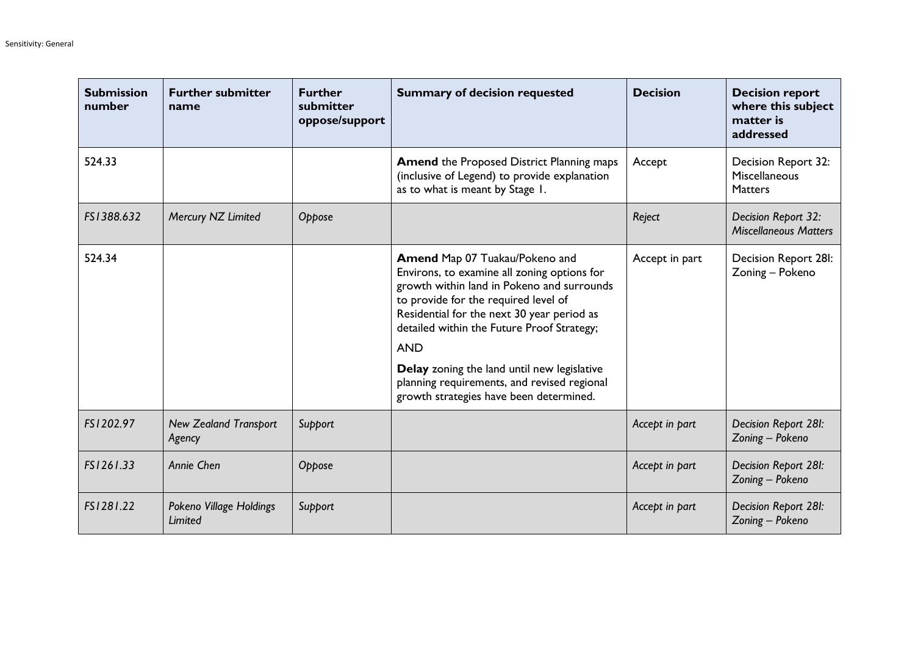| <b>Submission</b><br>number | <b>Further submitter</b><br>name       | <b>Further</b><br>submitter<br>oppose/support | <b>Summary of decision requested</b>                                                                                                                                                                                                                                                                                                                                                                                   | <b>Decision</b> | <b>Decision report</b><br>where this subject<br>matter is<br>addressed |
|-----------------------------|----------------------------------------|-----------------------------------------------|------------------------------------------------------------------------------------------------------------------------------------------------------------------------------------------------------------------------------------------------------------------------------------------------------------------------------------------------------------------------------------------------------------------------|-----------------|------------------------------------------------------------------------|
| 524.33                      |                                        |                                               | <b>Amend the Proposed District Planning maps</b><br>(inclusive of Legend) to provide explanation<br>as to what is meant by Stage 1.                                                                                                                                                                                                                                                                                    | Accept          | Decision Report 32:<br>Miscellaneous<br><b>Matters</b>                 |
| FS1388.632                  | Mercury NZ Limited                     | Oppose                                        |                                                                                                                                                                                                                                                                                                                                                                                                                        | Reject          | Decision Report 32:<br><b>Miscellaneous Matters</b>                    |
| 524.34                      |                                        |                                               | Amend Map 07 Tuakau/Pokeno and<br>Environs, to examine all zoning options for<br>growth within land in Pokeno and surrounds<br>to provide for the required level of<br>Residential for the next 30 year period as<br>detailed within the Future Proof Strategy;<br><b>AND</b><br>Delay zoning the land until new legislative<br>planning requirements, and revised regional<br>growth strategies have been determined. | Accept in part  | Decision Report 28I:<br>Zoning - Pokeno                                |
| FS1202.97                   | <b>New Zealand Transport</b><br>Agency | Support                                       |                                                                                                                                                                                                                                                                                                                                                                                                                        | Accept in part  | Decision Report 28I:<br>Zoning - Pokeno                                |
| FS1261.33                   | Annie Chen                             | Oppose                                        |                                                                                                                                                                                                                                                                                                                                                                                                                        | Accept in part  | Decision Report 28I:<br>Zoning - Pokeno                                |
| FS1281.22                   | Pokeno Village Holdings<br>Limited     | Support                                       |                                                                                                                                                                                                                                                                                                                                                                                                                        | Accept in part  | Decision Report 28I:<br>Zoning - Pokeno                                |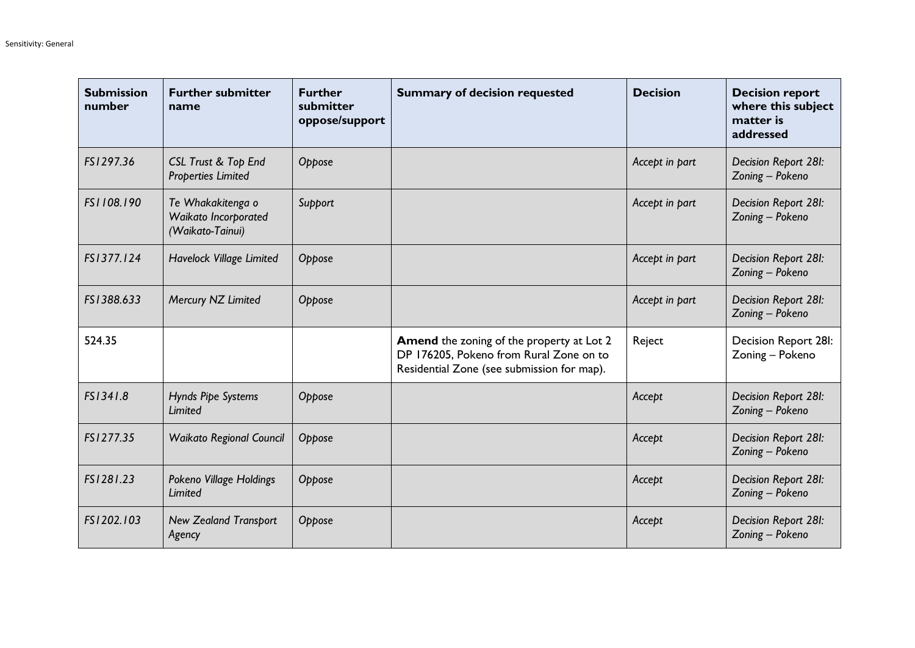| <b>Submission</b><br>number | <b>Further submitter</b><br>name                              | <b>Further</b><br>submitter<br>oppose/support | <b>Summary of decision requested</b>                                                                                               | <b>Decision</b> | <b>Decision report</b><br>where this subject<br>matter is<br>addressed |
|-----------------------------|---------------------------------------------------------------|-----------------------------------------------|------------------------------------------------------------------------------------------------------------------------------------|-----------------|------------------------------------------------------------------------|
| FS1297.36                   | CSL Trust & Top End<br><b>Properties Limited</b>              | Oppose                                        |                                                                                                                                    | Accept in part  | Decision Report 28I:<br>Zoning - Pokeno                                |
| FS1108.190                  | Te Whakakitenga o<br>Waikato Incorporated<br>(Waikato-Tainui) | Support                                       |                                                                                                                                    | Accept in part  | Decision Report 28I:<br>Zoning - Pokeno                                |
| FS1377.124                  | Havelock Village Limited                                      | Oppose                                        |                                                                                                                                    | Accept in part  | Decision Report 28I:<br>Zoning - Pokeno                                |
| FS1388.633                  | Mercury NZ Limited                                            | Oppose                                        |                                                                                                                                    | Accept in part  | Decision Report 28I:<br>Zoning - Pokeno                                |
| 524.35                      |                                                               |                                               | Amend the zoning of the property at Lot 2<br>DP 176205, Pokeno from Rural Zone on to<br>Residential Zone (see submission for map). | Reject          | Decision Report 28I:<br>Zoning - Pokeno                                |
| FS1341.8                    | Hynds Pipe Systems<br>Limited                                 | Oppose                                        |                                                                                                                                    | Accept          | Decision Report 28I:<br>Zoning - Pokeno                                |
| FS1277.35                   | <b>Waikato Regional Council</b>                               | Oppose                                        |                                                                                                                                    | Accept          | Decision Report 28I:<br>Zoning - Pokeno                                |
| FS1281.23                   | Pokeno Village Holdings<br>Limited                            | Oppose                                        |                                                                                                                                    | Accept          | Decision Report 28I:<br>Zoning - Pokeno                                |
| FS1202.103                  | <b>New Zealand Transport</b><br>Agency                        | Oppose                                        |                                                                                                                                    | Accept          | Decision Report 28I:<br>Zoning - Pokeno                                |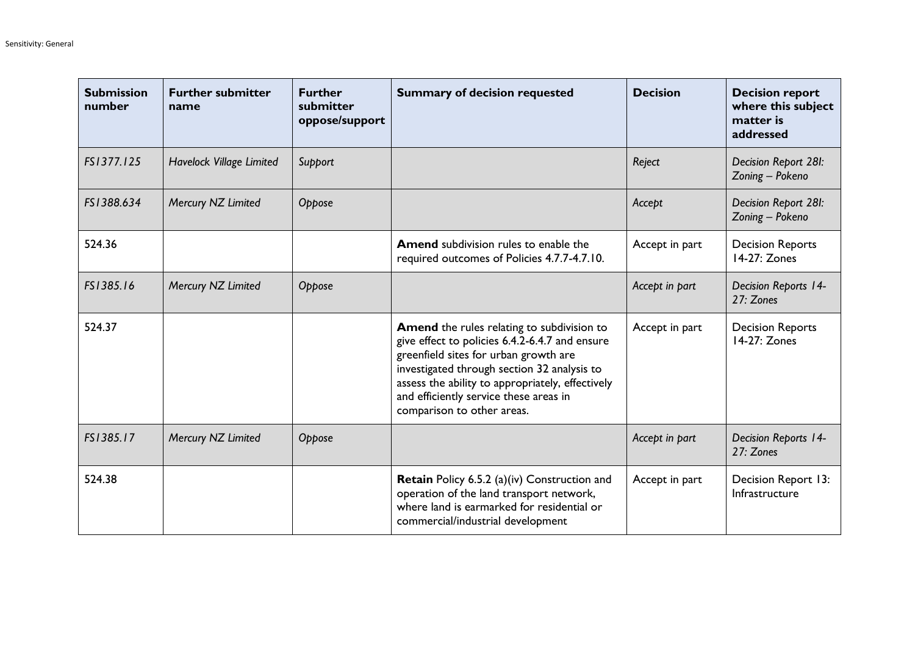| <b>Submission</b><br>number | <b>Further submitter</b><br>name | <b>Further</b><br>submitter<br>oppose/support | <b>Summary of decision requested</b>                                                                                                                                                                                                                                                                                    | <b>Decision</b> | <b>Decision report</b><br>where this subject<br>matter is<br>addressed |
|-----------------------------|----------------------------------|-----------------------------------------------|-------------------------------------------------------------------------------------------------------------------------------------------------------------------------------------------------------------------------------------------------------------------------------------------------------------------------|-----------------|------------------------------------------------------------------------|
| FS1377.125                  | <b>Havelock Village Limited</b>  | Support                                       |                                                                                                                                                                                                                                                                                                                         | Reject          | Decision Report 28I:<br>Zoning - Pokeno                                |
| FS1388.634                  | Mercury NZ Limited               | Oppose                                        |                                                                                                                                                                                                                                                                                                                         | Accept          | Decision Report 28I:<br>Zoning - Pokeno                                |
| 524.36                      |                                  |                                               | <b>Amend</b> subdivision rules to enable the<br>required outcomes of Policies 4.7.7-4.7.10.                                                                                                                                                                                                                             | Accept in part  | <b>Decision Reports</b><br>14-27: Zones                                |
| FS1385.16                   | Mercury NZ Limited               | Oppose                                        |                                                                                                                                                                                                                                                                                                                         | Accept in part  | <b>Decision Reports 14-</b><br>27: Zones                               |
| 524.37                      |                                  |                                               | <b>Amend</b> the rules relating to subdivision to<br>give effect to policies 6.4.2-6.4.7 and ensure<br>greenfield sites for urban growth are<br>investigated through section 32 analysis to<br>assess the ability to appropriately, effectively<br>and efficiently service these areas in<br>comparison to other areas. | Accept in part  | <b>Decision Reports</b><br>14-27: Zones                                |
| FS1385.17                   | Mercury NZ Limited               | Oppose                                        |                                                                                                                                                                                                                                                                                                                         | Accept in part  | <b>Decision Reports 14-</b><br>27: Zones                               |
| 524.38                      |                                  |                                               | Retain Policy 6.5.2 (a)(iv) Construction and<br>operation of the land transport network,<br>where land is earmarked for residential or<br>commercial/industrial development                                                                                                                                             | Accept in part  | Decision Report 13:<br>Infrastructure                                  |